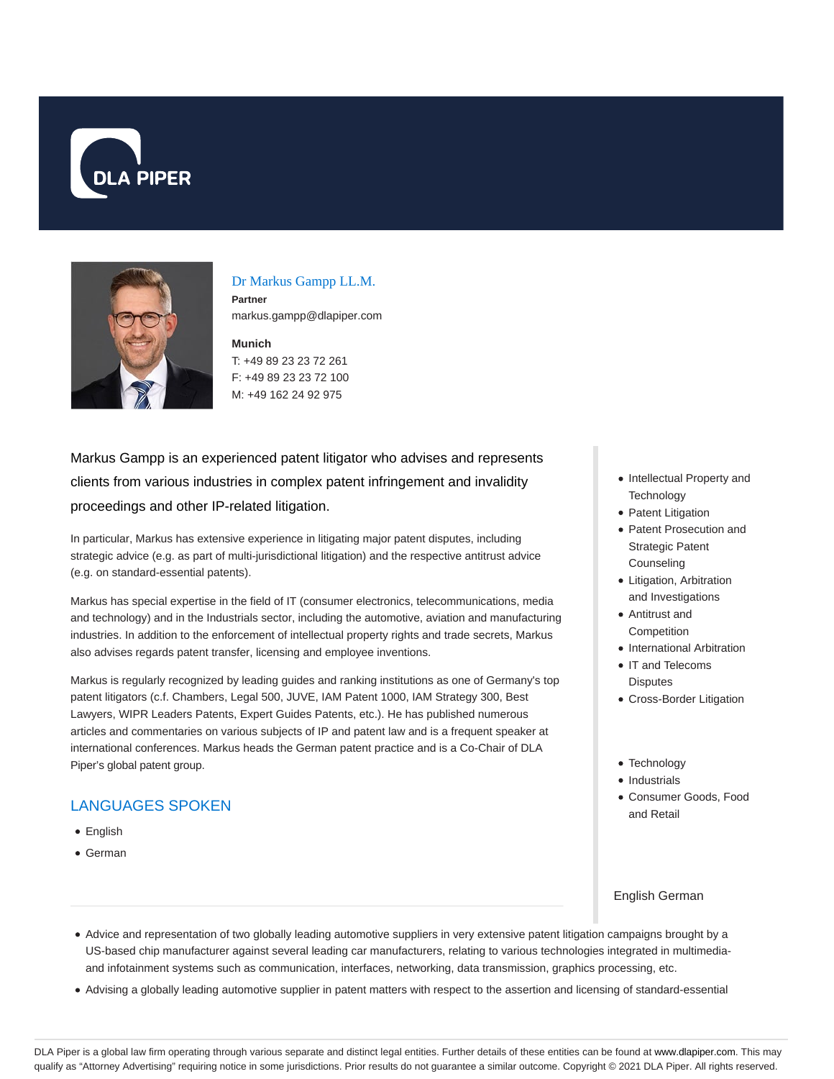



# Dr Markus Gampp LL.M.

**Partner** markus.gampp@dlapiper.com

## **Munich** T: +49 89 23 23 72 261 F: +49 89 23 23 72 100 M: +49 162 24 92 975

Markus Gampp is an experienced patent litigator who advises and represents clients from various industries in complex patent infringement and invalidity proceedings and other IP-related litigation.

In particular, Markus has extensive experience in litigating major patent disputes, including strategic advice (e.g. as part of multi-jurisdictional litigation) and the respective antitrust advice (e.g. on standard-essential patents).

Markus has special expertise in the field of IT (consumer electronics, telecommunications, media and technology) and in the Industrials sector, including the automotive, aviation and manufacturing industries. In addition to the enforcement of intellectual property rights and trade secrets, Markus also advises regards patent transfer, licensing and employee inventions.

Markus is regularly recognized by leading guides and ranking institutions as one of Germany's top patent litigators (c.f. Chambers, Legal 500, JUVE, IAM Patent 1000, IAM Strategy 300, Best Lawyers, WIPR Leaders Patents, Expert Guides Patents, etc.). He has published numerous articles and commentaries on various subjects of IP and patent law and is a frequent speaker at international conferences. Markus heads the German patent practice and is a Co-Chair of DLA Piper's global patent group.

# LANGUAGES SPOKEN

- English
- German
- Intellectual Property and **Technology**
- Patent Litigation
- Patent Prosecution and Strategic Patent Counseling
- Litigation, Arbitration and Investigations
- Antitrust and Competition
- International Arbitration
- IT and Telecoms **Disputes**
- Cross-Border Litigation
- Technology
- Industrials
- Consumer Goods, Food and Retail

#### English German

- Advice and representation of two globally leading automotive suppliers in very extensive patent litigation campaigns brought by a US-based chip manufacturer against several leading car manufacturers, relating to various technologies integrated in multimediaand infotainment systems such as communication, interfaces, networking, data transmission, graphics processing, etc.
- Advising a globally leading automotive supplier in patent matters with respect to the assertion and licensing of standard-essential

DLA Piper is a global law firm operating through various separate and distinct legal entities. Further details of these entities can be found at www.dlapiper.com. This may qualify as "Attorney Advertising" requiring notice in some jurisdictions. Prior results do not guarantee a similar outcome. Copyright @ 2021 DLA Piper. All rights reserved.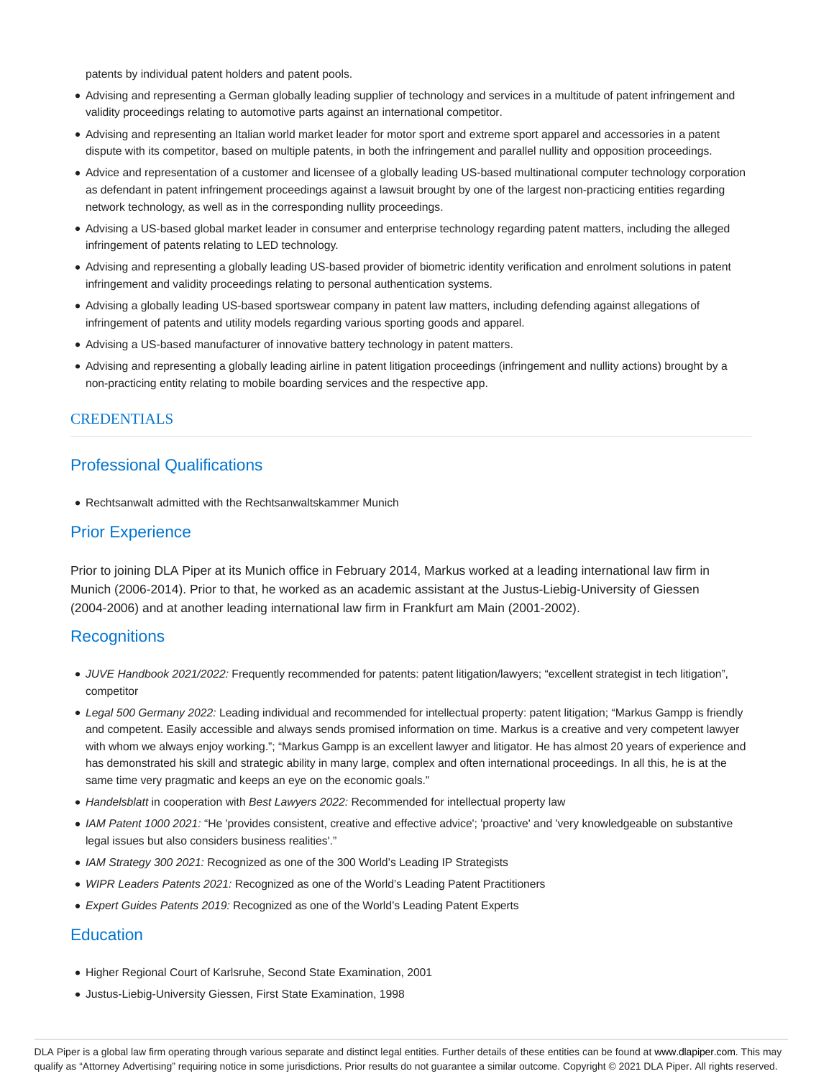patents by individual patent holders and patent pools.

- Advising and representing a German globally leading supplier of technology and services in a multitude of patent infringement and validity proceedings relating to automotive parts against an international competitor.
- Advising and representing an Italian world market leader for motor sport and extreme sport apparel and accessories in a patent dispute with its competitor, based on multiple patents, in both the infringement and parallel nullity and opposition proceedings.
- Advice and representation of a customer and licensee of a globally leading US-based multinational computer technology corporation as defendant in patent infringement proceedings against a lawsuit brought by one of the largest non-practicing entities regarding network technology, as well as in the corresponding nullity proceedings.
- Advising a US-based global market leader in consumer and enterprise technology regarding patent matters, including the alleged infringement of patents relating to LED technology.
- Advising and representing a globally leading US-based provider of biometric identity verification and enrolment solutions in patent infringement and validity proceedings relating to personal authentication systems.
- Advising a globally leading US-based sportswear company in patent law matters, including defending against allegations of infringement of patents and utility models regarding various sporting goods and apparel.
- Advising a US-based manufacturer of innovative battery technology in patent matters.
- Advising and representing a globally leading airline in patent litigation proceedings (infringement and nullity actions) brought by a non-practicing entity relating to mobile boarding services and the respective app.

#### **CREDENTIALS**

# Professional Qualifications

Rechtsanwalt admitted with the Rechtsanwaltskammer Munich

# Prior Experience

Prior to joining DLA Piper at its Munich office in February 2014, Markus worked at a leading international law firm in Munich (2006-2014). Prior to that, he worked as an academic assistant at the Justus-Liebig-University of Giessen (2004-2006) and at another leading international law firm in Frankfurt am Main (2001-2002).

# **Recognitions**

- JUVE Handbook 2021/2022: Frequently recommended for patents: patent litigation/lawyers; "excellent strategist in tech litigation", competitor
- Legal 500 Germany 2022: Leading individual and recommended for intellectual property: patent litigation; "Markus Gampp is friendly and competent. Easily accessible and always sends promised information on time. Markus is a creative and very competent lawyer with whom we always enjoy working."; "Markus Gampp is an excellent lawyer and litigator. He has almost 20 years of experience and has demonstrated his skill and strategic ability in many large, complex and often international proceedings. In all this, he is at the same time very pragmatic and keeps an eye on the economic goals."
- Handelsblatt in cooperation with Best Lawyers 2022: Recommended for intellectual property law
- IAM Patent 1000 2021: "He 'provides consistent, creative and effective advice'; 'proactive' and 'very knowledgeable on substantive legal issues but also considers business realities'."
- IAM Strategy 300 2021: Recognized as one of the 300 World's Leading IP Strategists
- WIPR Leaders Patents 2021: Recognized as one of the World's Leading Patent Practitioners
- Expert Guides Patents 2019: Recognized as one of the World's Leading Patent Experts

# **Education**

- Higher Regional Court of Karlsruhe, Second State Examination, 2001
- Justus-Liebig-University Giessen, First State Examination, 1998